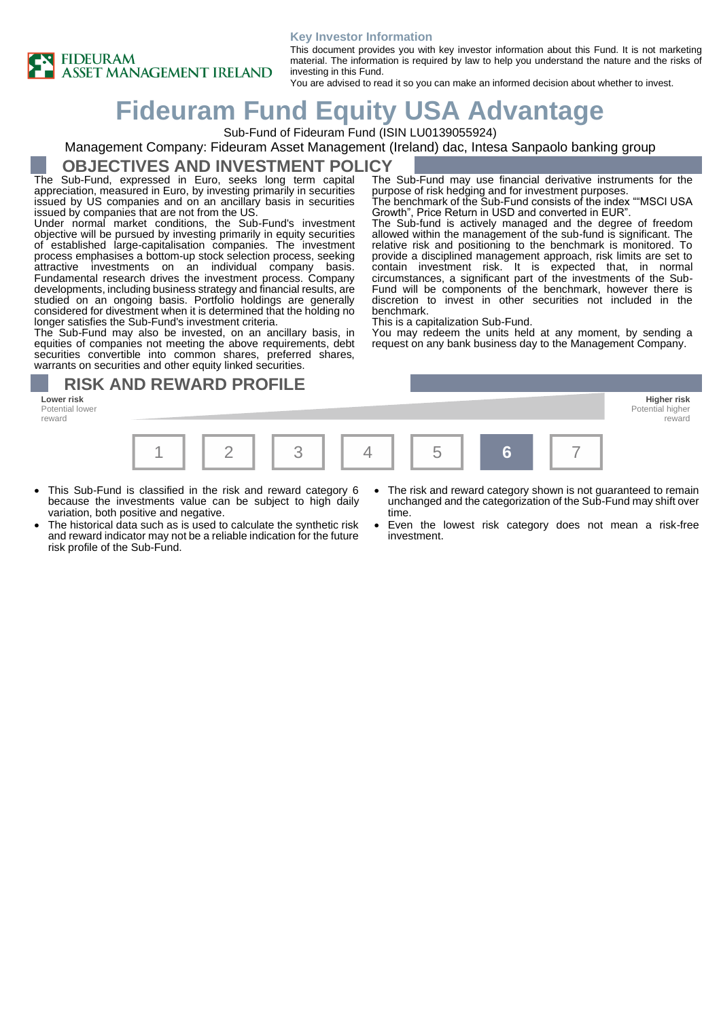

#### **Key Investor Information**

This document provides you with key investor information about this Fund. It is not marketing material. The information is required by law to help you understand the nature and the risks of investing in this Fund.

purpose of risk hedging and for investment purposes.

Growth", Price Return in USD and converted in EUR".

The Sub-Fund may use financial derivative instruments for the

The benchmark of the Sub-Fund consists of the index ""MSCI USA

The Sub-fund is actively managed and the degree of freedom allowed within the management of the sub-fund is significant. The relative risk and positioning to the benchmark is monitored. To provide a disciplined management approach, risk limits are set to contain investment risk. It is expected that, in normal circumstances, a significant part of the investments of the Sub-Fund will be components of the benchmark, however there is discretion to invest in other securities not included in the

You may redeem the units held at any moment, by sending a request on any bank business day to the Management Company.

You are advised to read it so you can make an informed decision about whether to invest.

# **Fideuram Fund Equity USA Advantage**

Sub-Fund of Fideuram Fund (ISIN LU0139055924)

### Management Company: Fideuram Asset Management (Ireland) dac, Intesa Sanpaolo banking group

## **OBJECTIVES AND INVESTMENT POLICY**

The Sub-Fund, expressed in Euro, seeks long term capital appreciation, measured in Euro, by investing primarily in securities issued by US companies and on an ancillary basis in securities issued by companies that are not from the US.

Under normal market conditions, the Sub-Fund's investment objective will be pursued by investing primarily in equity securities of established large-capitalisation companies. The investment process emphasises a bottom-up stock selection process, seeking attractive investments on an individual company basis. Fundamental research drives the investment process. Company developments, including business strategy and financial results, are studied on an ongoing basis. Portfolio holdings are generally considered for divestment when it is determined that the holding no longer satisfies the Sub-Fund's investment criteria.

The Sub-Fund may also be invested, on an ancillary basis, in equities of companies not meeting the above requirements, debt securities convertible into common shares, preferred shares, warrants on securities and other equity linked securities.

## **RISK AND REWARD PROFILE**

**Lower risk Higher risk** Potential lower reward



benchmark.

This is a capitalization Sub-Fund.

- This Sub-Fund is classified in the risk and reward category 6 because the investments value can be subject to high daily variation, both positive and negative.
- The historical data such as is used to calculate the synthetic risk and reward indicator may not be a reliable indication for the future risk profile of the Sub-Fund.
- The risk and reward category shown is not guaranteed to remain unchanged and the categorization of the Sub-Fund may shift over time.

Potential higher reward

• Even the lowest risk category does not mean a risk-free investment.